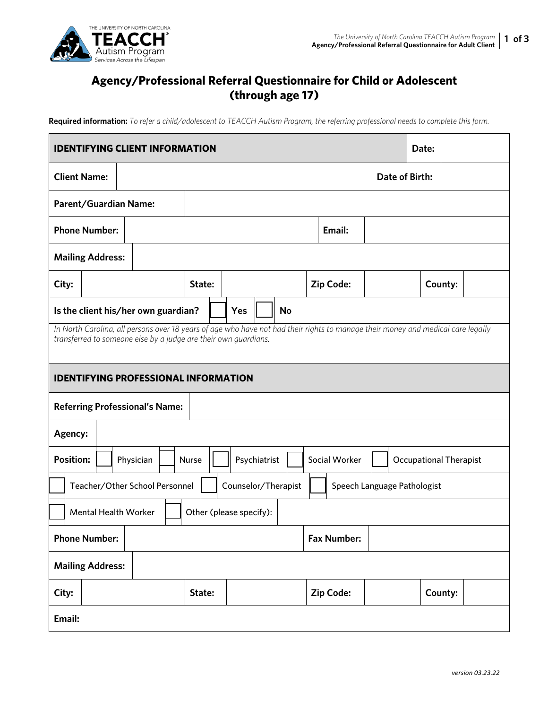

## **Agency/Professional Referral Questionnaire for Child or Adolescent (through age 17)**

**Required information:** *To refer a child/adolescent to TEACCH Autism Program, the referring professional needs to complete this form.* 

| <b>IDENTIFYING CLIENT INFORMATION</b><br>Date:                                                                                                                                                      |                                                                                      |  |           |                         |        |  |     |              |           |                  |               |  |                |                               |  |
|-----------------------------------------------------------------------------------------------------------------------------------------------------------------------------------------------------|--------------------------------------------------------------------------------------|--|-----------|-------------------------|--------|--|-----|--------------|-----------|------------------|---------------|--|----------------|-------------------------------|--|
| <b>Client Name:</b>                                                                                                                                                                                 |                                                                                      |  |           |                         |        |  |     |              |           |                  |               |  | Date of Birth: |                               |  |
| Parent/Guardian Name:                                                                                                                                                                               |                                                                                      |  |           |                         |        |  |     |              |           |                  |               |  |                |                               |  |
| <b>Phone Number:</b>                                                                                                                                                                                |                                                                                      |  | Email:    |                         |        |  |     |              |           |                  |               |  |                |                               |  |
| <b>Mailing Address:</b>                                                                                                                                                                             |                                                                                      |  |           |                         |        |  |     |              |           |                  |               |  |                |                               |  |
| City:                                                                                                                                                                                               |                                                                                      |  |           |                         | State: |  |     |              |           | <b>Zip Code:</b> |               |  | County:        |                               |  |
| Is the client his/her own guardian?                                                                                                                                                                 |                                                                                      |  |           |                         |        |  | Yes |              | <b>No</b> |                  |               |  |                |                               |  |
| In North Carolina, all persons over 18 years of age who have not had their rights to manage their money and medical care legally<br>transferred to someone else by a judge are their own guardians. |                                                                                      |  |           |                         |        |  |     |              |           |                  |               |  |                |                               |  |
| <b>IDENTIFYING PROFESSIONAL INFORMATION</b>                                                                                                                                                         |                                                                                      |  |           |                         |        |  |     |              |           |                  |               |  |                |                               |  |
| <b>Referring Professional's Name:</b>                                                                                                                                                               |                                                                                      |  |           |                         |        |  |     |              |           |                  |               |  |                |                               |  |
| Agency:                                                                                                                                                                                             |                                                                                      |  |           |                         |        |  |     |              |           |                  |               |  |                |                               |  |
| <b>Position:</b>                                                                                                                                                                                    |                                                                                      |  | Physician |                         | Nurse  |  |     | Psychiatrist |           |                  | Social Worker |  |                | <b>Occupational Therapist</b> |  |
|                                                                                                                                                                                                     | Teacher/Other School Personnel<br>Counselor/Therapist<br>Speech Language Pathologist |  |           |                         |        |  |     |              |           |                  |               |  |                |                               |  |
|                                                                                                                                                                                                     | <b>Mental Health Worker</b>                                                          |  |           | Other (please specify): |        |  |     |              |           |                  |               |  |                |                               |  |
| <b>Phone Number:</b><br><b>Fax Number:</b>                                                                                                                                                          |                                                                                      |  |           |                         |        |  |     |              |           |                  |               |  |                |                               |  |
| <b>Mailing Address:</b>                                                                                                                                                                             |                                                                                      |  |           |                         |        |  |     |              |           |                  |               |  |                |                               |  |
| City:                                                                                                                                                                                               |                                                                                      |  | State:    |                         |        |  |     |              |           | Zip Code:        |               |  | County:        |                               |  |
| Email:                                                                                                                                                                                              |                                                                                      |  |           |                         |        |  |     |              |           |                  |               |  |                |                               |  |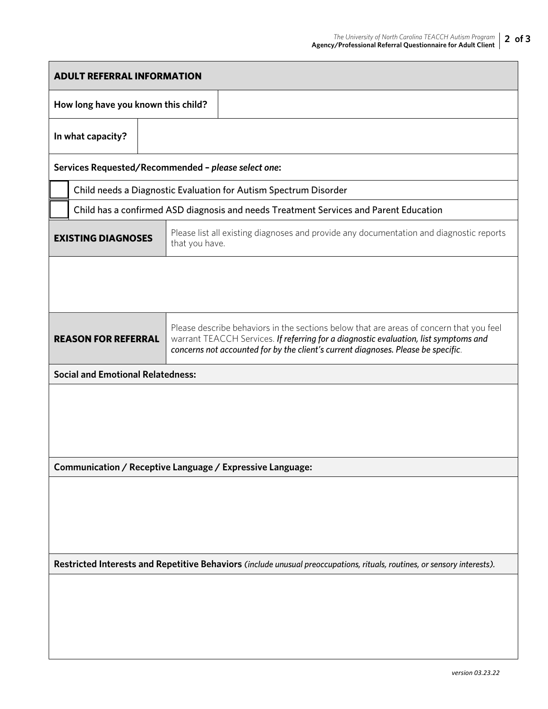| <b>ADULT REFERRAL INFORMATION</b>                                                                                        |                                                                                       |                                                                                                                                                                                                                                                                      |  |  |  |  |  |  |  |  |
|--------------------------------------------------------------------------------------------------------------------------|---------------------------------------------------------------------------------------|----------------------------------------------------------------------------------------------------------------------------------------------------------------------------------------------------------------------------------------------------------------------|--|--|--|--|--|--|--|--|
|                                                                                                                          | How long have you known this child?                                                   |                                                                                                                                                                                                                                                                      |  |  |  |  |  |  |  |  |
| In what capacity?                                                                                                        |                                                                                       |                                                                                                                                                                                                                                                                      |  |  |  |  |  |  |  |  |
|                                                                                                                          | Services Requested/Recommended - please select one:                                   |                                                                                                                                                                                                                                                                      |  |  |  |  |  |  |  |  |
|                                                                                                                          | Child needs a Diagnostic Evaluation for Autism Spectrum Disorder                      |                                                                                                                                                                                                                                                                      |  |  |  |  |  |  |  |  |
|                                                                                                                          | Child has a confirmed ASD diagnosis and needs Treatment Services and Parent Education |                                                                                                                                                                                                                                                                      |  |  |  |  |  |  |  |  |
|                                                                                                                          | <b>EXISTING DIAGNOSES</b>                                                             | Please list all existing diagnoses and provide any documentation and diagnostic reports<br>that you have.                                                                                                                                                            |  |  |  |  |  |  |  |  |
|                                                                                                                          |                                                                                       |                                                                                                                                                                                                                                                                      |  |  |  |  |  |  |  |  |
|                                                                                                                          | <b>REASON FOR REFERRAL</b>                                                            | Please describe behaviors in the sections below that are areas of concern that you feel<br>warrant TEACCH Services. If referring for a diagnostic evaluation, list symptoms and<br>concerns not accounted for by the client's current diagnoses. Please be specific. |  |  |  |  |  |  |  |  |
|                                                                                                                          | <b>Social and Emotional Relatedness:</b>                                              |                                                                                                                                                                                                                                                                      |  |  |  |  |  |  |  |  |
|                                                                                                                          |                                                                                       |                                                                                                                                                                                                                                                                      |  |  |  |  |  |  |  |  |
| Communication / Receptive Language / Expressive Language:                                                                |                                                                                       |                                                                                                                                                                                                                                                                      |  |  |  |  |  |  |  |  |
|                                                                                                                          |                                                                                       |                                                                                                                                                                                                                                                                      |  |  |  |  |  |  |  |  |
|                                                                                                                          |                                                                                       |                                                                                                                                                                                                                                                                      |  |  |  |  |  |  |  |  |
| Restricted Interests and Repetitive Behaviors (include unusual preoccupations, rituals, routines, or sensory interests). |                                                                                       |                                                                                                                                                                                                                                                                      |  |  |  |  |  |  |  |  |
|                                                                                                                          |                                                                                       |                                                                                                                                                                                                                                                                      |  |  |  |  |  |  |  |  |